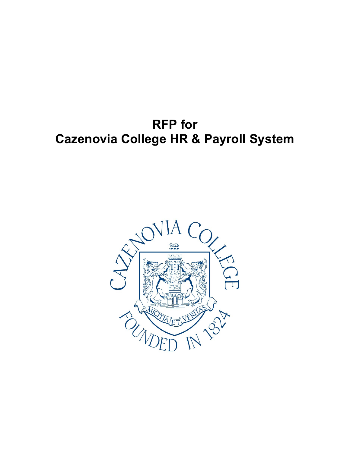# **RFP for Cazenovia College HR & Payroll System**

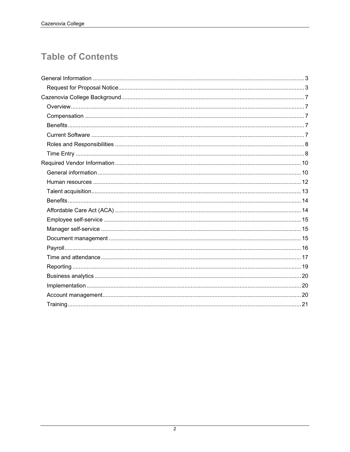## **Table of Contents**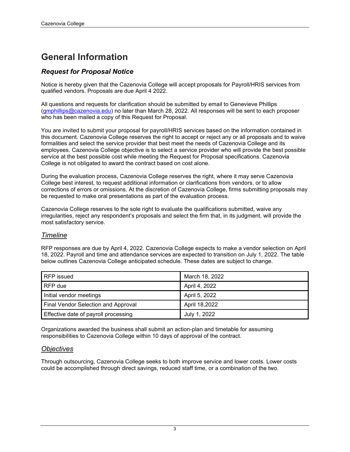## **General Information**

## *Request for Proposal Notice*

Notice is hereby given that the Cazenovia College will accept proposals for Payroll/HRIS services from qualified vendors. Proposals are due April 4 2022.

All questions and requests for clarification should be submitted by email to Genevieve Phillips [\(gmphillips@cazenovia.edu\)](mailto:gmphillips@cazenovia.edu) no later than March 28, 2022. All responses will be sent to each proposer who has been mailed a copy of this Request for Proposal.

You are invited to submit your proposal for payroll/HRIS services based on the information contained in this document. Cazenovia College reserves the right to accept or reject any or all proposals and to waive formalities and select the service provider that best meet the needs of Cazenovia College and its employees. Cazenovia College objective is to select a service provider who will provide the best possible service at the best possible cost while meeting the Request for Proposal specifications. Cazenovia College is not obligated to award the contract based on cost alone.

During the evaluation process, Cazenovia College reserves the right, where it may serve Cazenovia College best interest, to request additional information or clarifications from vendors, or to allow corrections of errors or omissions. At the discretion of Cazenovia College, firms submitting proposals may be requested to make oral presentations as part of the evaluation process.

Cazenovia College reserves to the sole right to evaluate the qualifications submitted, waive any irregularities, reject any respondent's proposals and select the firm that, in its judgment, will provide the most satisfactory service.

## *Timeline*

RFP responses are due by April 4, 2022. Cazenovia College expects to make a vendor selection on April 18, 2022. Payroll and time and attendance services are expected to transition on July 1, 2022. The table below outlines Cazenovia College anticipated schedule. These dates are subject to change.

| RFP issued                           | March 18, 2022 |
|--------------------------------------|----------------|
| RFP due                              | April 4, 2022  |
| Initial vendor meetings              | April 5, 2022  |
| Final Vendor Selection and Approval  | April 18,2022  |
| Effective date of payroll processing | July 1, 2022   |

Organizations awarded the business shall submit an action-plan and timetable for assuming responsibilities to Cazenovia College within 10 days of approval of the contract.

## *Objectives*

Through outsourcing, Cazenovia College seeks to both improve service and lower costs. Lower costs could be accomplished through direct savings, reduced staff time, or a combination of the two.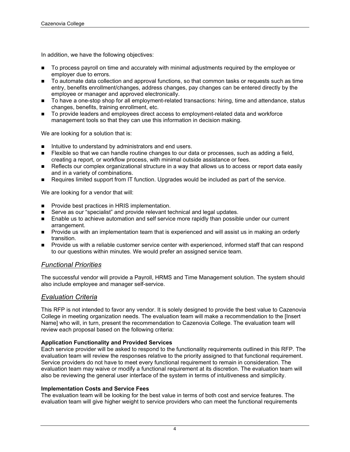In addition, we have the following objectives:

- To process payroll on time and accurately with minimal adjustments required by the employee or employer due to errors.
- To automate data collection and approval functions, so that common tasks or requests such as time entry, benefits enrollment/changes, address changes, pay changes can be entered directly by the employee or manager and approved electronically.
- To have a one-stop shop for all employment-related transactions: hiring, time and attendance, status changes, benefits, training enrollment, etc.
- To provide leaders and employees direct access to employment-related data and workforce management tools so that they can use this information in decision making.

We are looking for a solution that is:

- $\blacksquare$  Intuitive to understand by administrators and end users.
- **Figure 1** Flexible so that we can handle routine changes to our data or processes, such as adding a field, creating a report, or workflow process, with minimal outside assistance or fees.
- Reflects our complex organizational structure in a way that allows us to access or report data easily and in a variety of combinations.
- Requires limited support from IT function. Upgrades would be included as part of the service.

We are looking for a vendor that will:

- **Provide best practices in HRIS implementation.**
- Serve as our "specialist" and provide relevant technical and legal updates.
- **Enable us to achieve automation and self service more rapidly than possible under our current** arrangement.
- **Provide us with an implementation team that is experienced and will assist us in making an orderly** transition.
- **Provide us with a reliable customer service center with experienced, informed staff that can respond** to our questions within minutes. We would prefer an assigned service team.

#### *Functional Priorities*

The successful vendor will provide a Payroll, HRMS and Time Management solution. The system should also include employee and manager self-service.

#### *Evaluation Criteria*

This RFP is not intended to favor any vendor. It is solely designed to provide the best value to Cazenovia College in meeting organization needs. The evaluation team will make a recommendation to the [Insert Name] who will, in turn, present the recommendation to Cazenovia College. The evaluation team will review each proposal based on the following criteria:

#### **Application Functionality and Provided Services**

Each service provider will be asked to respond to the functionality requirements outlined in this RFP. The evaluation team will review the responses relative to the priority assigned to that functional requirement. Service providers do not have to meet every functional requirement to remain in consideration. The evaluation team may waive or modify a functional requirement at its discretion. The evaluation team will also be reviewing the general user interface of the system in terms of intuitiveness and simplicity.

#### **Implementation Costs and Service Fees**

The evaluation team will be looking for the best value in terms of both cost and service features. The evaluation team will give higher weight to service providers who can meet the functional requirements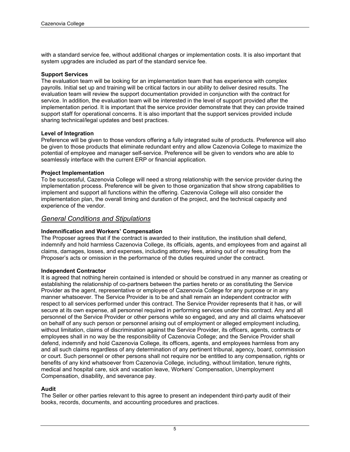with a standard service fee, without additional charges or implementation costs. It is also important that system upgrades are included as part of the standard service fee.

#### **Support Services**

The evaluation team will be looking for an implementation team that has experience with complex payrolls. Initial set up and training will be critical factors in our ability to deliver desired results. The evaluation team will review the support documentation provided in conjunction with the contract for service. In addition, the evaluation team will be interested in the level of support provided after the implementation period. It is important that the service provider demonstrate that they can provide trained support staff for operational concerns. It is also important that the support services provided include sharing technical/legal updates and best practices.

#### **Level of Integration**

Preference will be given to those vendors offering a fully integrated suite of products. Preference will also be given to those products that eliminate redundant entry and allow Cazenovia College to maximize the potential of employee and manager self-service. Preference will be given to vendors who are able to seamlessly interface with the current ERP or financial application.

#### **Project Implementation**

To be successful, Cazenovia College will need a strong relationship with the service provider during the implementation process. Preference will be given to those organization that show strong capabilities to implement and support all functions within the offering. Cazenovia College will also consider the implementation plan, the overall timing and duration of the project, and the technical capacity and experience of the vendor.

#### *General Conditions and Stipulations*

#### **Indemnification and Workers' Compensation**

The Proposer agrees that if the contract is awarded to their institution, the institution shall defend, indemnify and hold harmless Cazenovia College, its officials, agents, and employees from and against all claims, damages, losses, and expenses, including attorney fees, arising out of or resulting from the Proposer's acts or omission in the performance of the duties required under the contract.

#### **Independent Contractor**

It is agreed that nothing herein contained is intended or should be construed in any manner as creating or establishing the relationship of co-partners between the parties hereto or as constituting the Service Provider as the agent, representative or employee of Cazenovia College for any purpose or in any manner whatsoever. The Service Provider is to be and shall remain an independent contractor with respect to all services performed under this contract. The Service Provider represents that it has, or will secure at its own expense, all personnel required in performing services under this contract. Any and all personnel of the Service Provider or other persons while so engaged, and any and all claims whatsoever on behalf of any such person or personnel arising out of employment or alleged employment including, without limitation, claims of discrimination against the Service Provider, its officers, agents, contracts or employees shall in no way be the responsibility of Cazenovia College; and the Service Provider shall defend, indemnify and hold Cazenovia College, its officers, agents, and employees harmless from any and all such claims regardless of any determination of any pertinent tribunal, agency, board, commission or court. Such personnel or other persons shall not require nor be entitled to any compensation, rights or benefits of any kind whatsoever from Cazenovia College, including, without limitation, tenure rights, medical and hospital care, sick and vacation leave, Workers' Compensation, Unemployment Compensation, disability, and severance pay.

#### **Audit**

The Seller or other parties relevant to this agree to present an independent third-party audit of their books, records, documents, and accounting procedures and practices.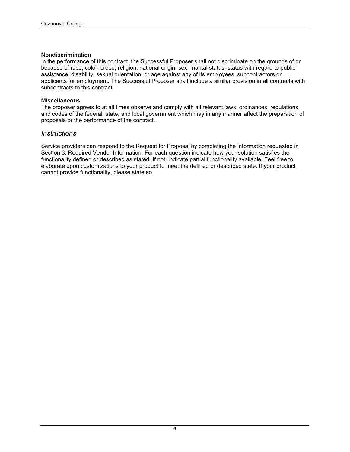#### **Nondiscrimination**

In the performance of this contract, the Successful Proposer shall not discriminate on the grounds of or because of race, color, creed, religion, national origin, sex, marital status, status with regard to public assistance, disability, sexual orientation, or age against any of its employees, subcontractors or applicants for employment. The Successful Proposer shall include a similar provision in all contracts with subcontracts to this contract.

#### **Miscellaneous**

The proposer agrees to at all times observe and comply with all relevant laws, ordinances, regulations, and codes of the federal, state, and local government which may in any manner affect the preparation of proposals or the performance of the contract.

#### *Instructions*

Service providers can respond to the Request for Proposal by completing the information requested in Section 3: Required Vendor Information. For each question indicate how your solution satisfies the functionality defined or described as stated. If not, indicate partial functionality available. Feel free to elaborate upon customizations to your product to meet the defined or described state. If your product cannot provide functionality, please state so.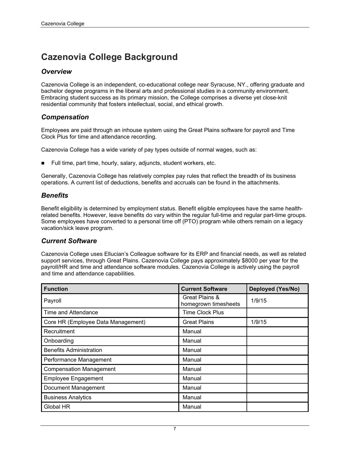## **Cazenovia College Background**

## *Overview*

Cazenovia College is an independent, co-educational college near Syracuse, NY., offering graduate and bachelor degree programs in the liberal arts and professional studies in a community environment. Embracing student success as its primary mission, the College comprises a diverse yet close-knit residential community that fosters intellectual, social, and ethical growth.

## *Compensation*

Employees are paid through an inhouse system using the Great Plains software for payroll and Time Clock Plus for time and attendance recording.

Cazenovia College has a wide variety of pay types outside of normal wages, such as:

Full time, part time, hourly, salary, adjuncts, student workers, etc.

Generally, Cazenovia College has relatively complex pay rules that reflect the breadth of its business operations. A current list of deductions, benefits and accruals can be found in the attachments.

## *Benefits*

Benefit eligibility is determined by employment status. Benefit eligible employees have the same healthrelated benefits. However, leave benefits do vary within the regular full-time and regular part-time groups. Some employees have converted to a personal time off (PTO) program while others remain on a legacy vacation/sick leave program.

## *Current Software*

Cazenovia College uses Ellucian's Colleague software for its ERP and financial needs, as well as related support services, through Great Plains. Cazenovia College pays approximately \$8000 per year for the payroll/HR and time and attendance software modules. Cazenovia College is actively using the payroll and time and attendance capabilities.

| <b>Function</b>                    | <b>Current Software</b>                | <b>Deployed (Yes/No)</b> |
|------------------------------------|----------------------------------------|--------------------------|
| Payroll                            | Great Plains &<br>homegrown timesheets | 1/9/15                   |
| <b>Time and Attendance</b>         | <b>Time Clock Plus</b>                 |                          |
| Core HR (Employee Data Management) | <b>Great Plains</b>                    | 1/9/15                   |
| Recruitment                        | Manual                                 |                          |
| Onboarding                         | Manual                                 |                          |
| <b>Benefits Administration</b>     | Manual                                 |                          |
| Performance Management             | Manual                                 |                          |
| <b>Compensation Management</b>     | Manual                                 |                          |
| <b>Employee Engagement</b>         | Manual                                 |                          |
| Document Management                | Manual                                 |                          |
| <b>Business Analytics</b>          | Manual                                 |                          |
| Global HR                          | Manual                                 |                          |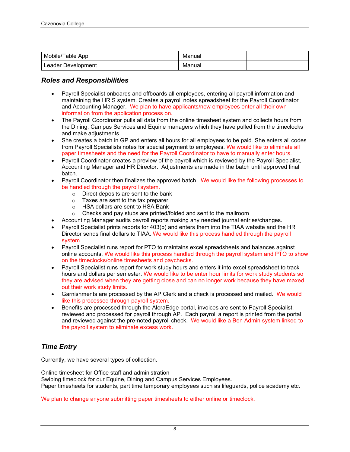| Mobile/Table App   | Manual |  |
|--------------------|--------|--|
| Leader Development | Manual |  |

### *Roles and Responsibilities*

- Payroll Specialist onboards and offboards all employees, entering all payroll information and maintaining the HRIS system. Creates a payroll notes spreadsheet for the Payroll Coordinator and Accounting Manager. We plan to have applicants/new employees enter all their own information from the application process on.
- The Payroll Coordinator pulls all data from the online timesheet system and collects hours from the Dining, Campus Services and Equine managers which they have pulled from the timeclocks and make adjustments.
- She creates a batch in GP and enters all hours for all employees to be paid. She enters all codes from Payroll Specialists notes for special payment to employees. We would like to eliminate all paper timesheets and the need for the Payroll Coordinator to have to manually enter hours.
- Payroll Coordinator creates a preview of the payroll which is reviewed by the Payroll Specialist, Accounting Manager and HR Director. Adjustments are made in the batch until approved final batch.
- Payroll Coordinator then finalizes the approved batch. We would like the following processes to be handled through the payroll system.
	- o Direct deposits are sent to the bank
	- o Taxes are sent to the tax preparer
	- $\circ$  HSA dollars are sent to HSA Bank<br>  $\circ$  Checks and pay stubs are printed/fo
	- Checks and pay stubs are printed/folded and sent to the mailroom
- Accounting Manager audits payroll reports making any needed journal entries/changes.
- Payroll Specialist prints reports for 403(b) and enters them into the TIAA website and the HR Director sends final dollars to TIAA. We would like this process handled through the payroll system.
- Payroll Specialist runs report for PTO to maintains excel spreadsheets and balances against online accounts. We would like this process handled through the payroll system and PTO to show on the timeclocks/online timesheets and paychecks.
- Payroll Specialist runs report for work study hours and enters it into excel spreadsheet to track hours and dollars per semester. We would like to be enter hour limits for work study students so they are advised when they are getting close and can no longer work because they have maxed out their work study limits.
- Garnishments are processed by the AP Clerk and a check is processed and mailed. We would like this processed through payroll system.
- Benefits are processed through the AleraEdge portal, invoices are sent to Payroll Specialist, reviewed and processed for payroll through AP. Each payroll a report is printed from the portal and reviewed against the pre-noted payroll check. We would like a Ben Admin system linked to the payroll system to eliminate excess work.

## *Time Entry*

Currently, we have several types of collection.

Online timesheet for Office staff and administration Swiping timeclock for our Equine, Dining and Campus Services Employees. Paper timesheets for students, part time temporary employees such as lifeguards, police academy etc.

We plan to change anyone submitting paper timesheets to either online or timeclock.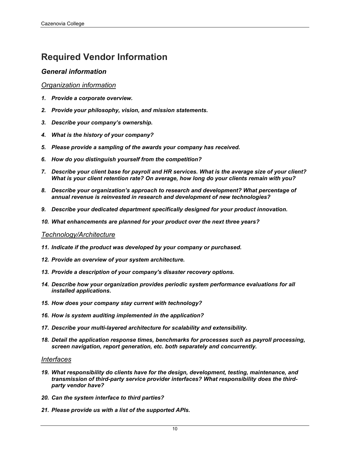## **Required Vendor Information**

## *General information*

#### *Organization information*

- *1. Provide a corporate overview.*
- *2. Provide your philosophy, vision, and mission statements.*
- *3. Describe your company's ownership.*
- *4. What is the history of your company?*
- *5. Please provide a sampling of the awards your company has received.*
- *6. How do you distinguish yourself from the competition?*
- *7. Describe your client base for payroll and HR services. What is the average size of your client? What is your client retention rate? On average, how long do your clients remain with you?*
- *8. Describe your organization's approach to research and development? What percentage of annual revenue is reinvested in research and development of new technologies?*
- *9. Describe your dedicated department specifically designed for your product innovation.*
- *10. What enhancements are planned for your product over the next three years?*

#### *Technology/Architecture*

- *11. Indicate if the product was developed by your company or purchased.*
- *12. Provide an overview of your system architecture.*
- *13. Provide a description of your company's disaster recovery options.*
- *14. Describe how your organization provides periodic system performance evaluations for all installed applications.*
- *15. How does your company stay current with technology?*
- *16. How is system auditing implemented in the application?*
- *17. Describe your multi-layered architecture for scalability and extensibility.*
- *18. Detail the application response times, benchmarks for processes such as payroll processing, screen navigation, report generation, etc. both separately and concurrently.*

#### *Interfaces*

- *19. What responsibility do clients have for the design, development, testing, maintenance, and transmission of third-party service provider interfaces? What responsibility does the thirdparty vendor have?*
- *20. Can the system interface to third parties?*
- *21. Please provide us with a list of the supported APIs.*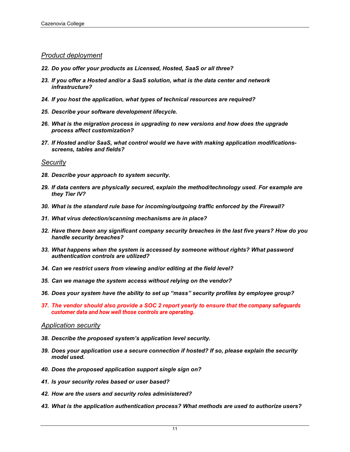#### *Product deployment*

- *22. Do you offer your products as Licensed, Hosted, SaaS or all three?*
- *23. If you offer a Hosted and/or a SaaS solution, what is the data center and network infrastructure?*
- *24. If you host the application, what types of technical resources are required?*
- *25. Describe your software development lifecycle.*
- *26. What is the migration process in upgrading to new versions and how does the upgrade process affect customization?*
- *27. If Hosted and/or SaaS, what control would we have with making application modificationsscreens, tables and fields?*

#### *Security*

- *28. Describe your approach to system security.*
- *29. If data centers are physically secured, explain the method/technology used. For example are they Tier IV?*
- *30. What is the standard rule base for incoming/outgoing traffic enforced by the Firewall?*
- *31. What virus detection/scanning mechanisms are in place?*
- *32. Have there been any significant company security breaches in the last five years? How do you handle security breaches?*
- *33. What happens when the system is accessed by someone without rights? What password authentication controls are utilized?*
- *34. Can we restrict users from viewing and/or editing at the field level?*
- *35. Can we manage the system access without relying on the vendor?*
- *36. Does your system have the ability to set up "mass" security profiles by employee group?*
- *37. The vendor should also provide a SOC 2 report yearly to ensure that the company safeguards customer data and how well those controls are operating.*

#### *Application security*

- *38. Describe the proposed system's application level security.*
- *39. Does your application use a secure connection if hosted? If so, please explain the security model used.*
- *40. Does the proposed application support single sign on?*
- *41. Is your security roles based or user based?*
- *42. How are the users and security roles administered?*
- *43. What is the application authentication process? What methods are used to authorize users?*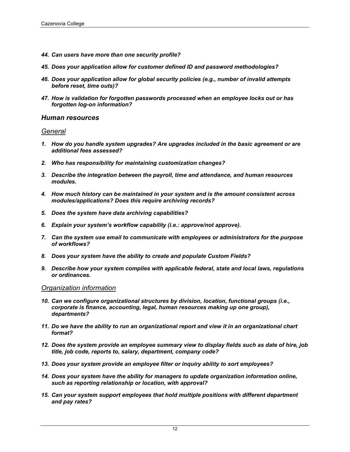- *44. Can users have more than one security profile?*
- *45. Does your application allow for customer defined ID and password methodologies?*
- *46. Does your application allow for global security policies (e.g., number of invalid attempts before reset, time outs)?*
- *47. How is validation for forgotten passwords processed when an employee locks out or has forgotten log-on information?*

#### *Human resources*

#### *General*

- *1. How do you handle system upgrades? Are upgrades included in the basic agreement or are additional fees assessed?*
- *2. Who has responsibility for maintaining customization changes?*
- *3. Describe the integration between the payroll, time and attendance, and human resources modules.*
- *4. How much history can be maintained in your system and is the amount consistent across modules/applications? Does this require archiving records?*
- *5. Does the system have data archiving capabilities?*
- *6. Explain your system's workflow capability (i.e.: approve/not approve).*
- *7. Can the system use email to communicate with employees or administrators for the purpose of workflows?*
- *8. Does your system have the ability to create and populate Custom Fields?*
- *9. Describe how your system complies with applicable federal, state and local laws, regulations or ordinances.*

#### *Organization information*

- *10. Can we configure organizational structures by division, location, functional groups (i.e., corporate is finance, accounting, legal, human resources making up one group), departments?*
- *11. Do we have the ability to run an organizational report and view it in an organizational chart format?*
- *12. Does the system provide an employee summary view to display fields such as date of hire, job title, job code, reports to, salary, department, company code?*
- *13. Does your system provide an employee filter or inquiry ability to sort employees?*
- *14. Does your system have the ability for managers to update organization information online, such as reporting relationship or location, with approval?*
- *15. Can your system support employees that hold multiple positions with different department and pay rates?*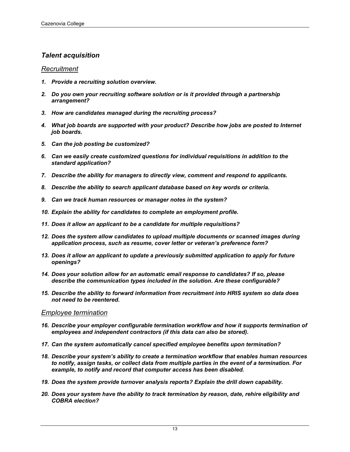## *Talent acquisition*

#### *Recruitment*

- *1. Provide a recruiting solution overview.*
- *2. Do you own your recruiting software solution or is it provided through a partnership arrangement?*
- *3. How are candidates managed during the recruiting process?*
- *4. What job boards are supported with your product? Describe how jobs are posted to Internet job boards.*
- *5. Can the job posting be customized?*
- *6. Can we easily create customized questions for individual requisitions in addition to the standard application?*
- *7. Describe the ability for managers to directly view, comment and respond to applicants.*
- *8. Describe the ability to search applicant database based on key words or criteria.*
- *9. Can we track human resources or manager notes in the system?*
- *10. Explain the ability for candidates to complete an employment profile.*
- *11. Does it allow an applicant to be a candidate for multiple requisitions?*
- *12. Does the system allow candidates to upload multiple documents or scanned images during application process, such as resume, cover letter or veteran's preference form?*
- *13. Does it allow an applicant to update a previously submitted application to apply for future openings?*
- *14. Does your solution allow for an automatic email response to candidates? If so, please describe the communication types included in the solution. Are these configurable?*
- *15. Describe the ability to forward information from recruitment into HRIS system so data does not need to be reentered.*

#### *Employee termination*

- *16. Describe your employer configurable termination workflow and how it supports termination of employees and independent contractors (if this data can also be stored).*
- *17. Can the system automatically cancel specified employee benefits upon termination?*
- *18. Describe your system's ability to create a termination workflow that enables human resources to notify, assign tasks, or collect data from multiple parties in the event of a termination. For example, to notify and record that computer access has been disabled.*
- *19. Does the system provide turnover analysis reports? Explain the drill down capability.*
- *20. Does your system have the ability to track termination by reason, date, rehire eligibility and COBRA election?*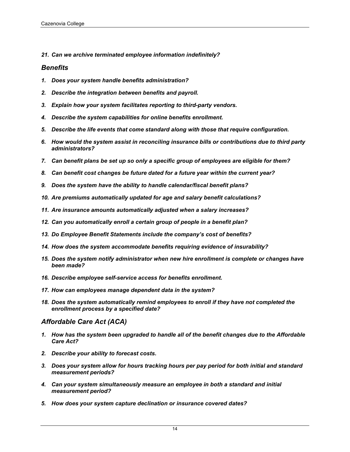*21. Can we archive terminated employee information indefinitely?*

### *Benefits*

- *1. Does your system handle benefits administration?*
- *2. Describe the integration between benefits and payroll.*
- *3. Explain how your system facilitates reporting to third-party vendors.*
- *4. Describe the system capabilities for online benefits enrollment.*
- *5. Describe the life events that come standard along with those that require configuration.*
- *6. How would the system assist in reconciling insurance bills or contributions due to third party administrators?*
- *7. Can benefit plans be set up so only a specific group of employees are eligible for them?*
- *8. Can benefit cost changes be future dated for a future year within the current year?*
- *9. Does the system have the ability to handle calendar/fiscal benefit plans?*
- *10. Are premiums automatically updated for age and salary benefit calculations?*
- *11. Are insurance amounts automatically adjusted when a salary increases?*
- *12. Can you automatically enroll a certain group of people in a benefit plan?*
- *13. Do Employee Benefit Statements include the company's cost of benefits?*
- *14. How does the system accommodate benefits requiring evidence of insurability?*
- *15. Does the system notify administrator when new hire enrollment is complete or changes have been made?*
- *16. Describe employee self-service access for benefits enrollment.*
- *17. How can employees manage dependent data in the system?*
- *18. Does the system automatically remind employees to enroll if they have not completed the enrollment process by a specified date?*

## *Affordable Care Act (ACA)*

- *1. How has the system been upgraded to handle all of the benefit changes due to the Affordable Care Act?*
- *2. Describe your ability to forecast costs.*
- *3. Does your system allow for hours tracking hours per pay period for both initial and standard measurement periods?*
- *4. Can your system simultaneously measure an employee in both a standard and initial measurement period?*
- *5. How does your system capture declination or insurance covered dates?*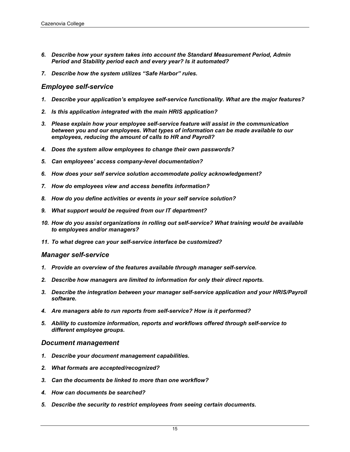- *6. Describe how your system takes into account the Standard Measurement Period, Admin Period and Stability period each and every year? Is it automated?*
- *7. Describe how the system utilizes "Safe Harbor" rules.*

#### *Employee self-service*

- *1. Describe your application's employee self-service functionality. What are the major features?*
- *2. Is this application integrated with the main HRIS application?*
- *3. Please explain how your employee self-service feature will assist in the communication between you and our employees. What types of information can be made available to our employees, reducing the amount of calls to HR and Payroll?*
- *4. Does the system allow employees to change their own passwords?*
- *5. Can employees' access company-level documentation?*
- *6. How does your self service solution accommodate policy acknowledgement?*
- *7. How do employees view and access benefits information?*
- *8. How do you define activities or events in your self service solution?*
- *9. What support would be required from our IT department?*
- *10. How do you assist organizations in rolling out self-service? What training would be available to employees and/or managers?*
- *11. To what degree can your self-service interface be customized?*

#### *Manager self-service*

- *1. Provide an overview of the features available through manager self-service.*
- *2. Describe how managers are limited to information for only their direct reports.*
- *3. Describe the integration between your manager self-service application and your HRIS/Payroll software.*
- *4. Are managers able to run reports from self-service? How is it performed?*
- *5. Ability to customize information, reports and workflows offered through self-service to different employee groups.*

#### *Document management*

- *1. Describe your document management capabilities.*
- *2. What formats are accepted/recognized?*
- *3. Can the documents be linked to more than one workflow?*
- *4. How can documents be searched?*
- *5. Describe the security to restrict employees from seeing certain documents.*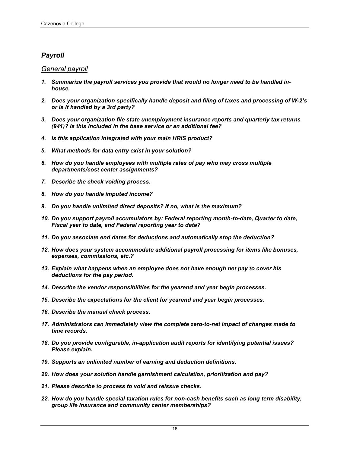## *Payroll*

### *General payroll*

- *1. Summarize the payroll services you provide that would no longer need to be handled inhouse.*
- *2. Does your organization specifically handle deposit and filing of taxes and processing of W-2's or is it handled by a 3rd party?*
- *3. Does your organization file state unemployment insurance reports and quarterly tax returns (941)? Is this included in the base service or an additional fee?*
- *4. Is this application integrated with your main HRIS product?*
- *5. What methods for data entry exist in your solution?*
- *6. How do you handle employees with multiple rates of pay who may cross multiple departments/cost center assignments?*
- *7. Describe the check voiding process.*
- *8. How do you handle imputed income?*
- *9. Do you handle unlimited direct deposits? If no, what is the maximum?*
- *10. Do you support payroll accumulators by: Federal reporting month-to-date, Quarter to date, Fiscal year to date, and Federal reporting year to date?*
- *11. Do you associate end dates for deductions and automatically stop the deduction?*
- *12. How does your system accommodate additional payroll processing for items like bonuses, expenses, commissions, etc.?*
- *13. Explain what happens when an employee does not have enough net pay to cover his deductions for the pay period.*
- *14. Describe the vendor responsibilities for the yearend and year begin processes.*
- *15. Describe the expectations for the client for yearend and year begin processes.*
- *16. Describe the manual check process.*
- *17. Administrators can immediately view the complete zero-to-net impact of changes made to time records.*
- *18. Do you provide configurable, in-application audit reports for identifying potential issues? Please explain.*
- *19. Supports an unlimited number of earning and deduction definitions.*
- *20. How does your solution handle garnishment calculation, prioritization and pay?*
- *21. Please describe to process to void and reissue checks.*
- *22. How do you handle special taxation rules for non-cash benefits such as long term disability, group life insurance and community center memberships?*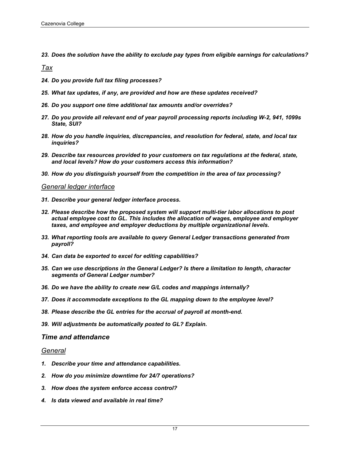*23. Does the solution have the ability to exclude pay types from eligible earnings for calculations?*

*Tax*

- *24. Do you provide full tax filing processes?*
- *25. What tax updates, if any, are provided and how are these updates received?*
- *26. Do you support one time additional tax amounts and/or overrides?*
- *27. Do you provide all relevant end of year payroll processing reports including W-2, 941, 1099s State, SUI?*
- *28. How do you handle inquiries, discrepancies, and resolution for federal, state, and local tax inquiries?*
- *29. Describe tax resources provided to your customers on tax regulations at the federal, state, and local levels? How do your customers access this information?*
- *30. How do you distinguish yourself from the competition in the area of tax processing?*

#### *General ledger interface*

- *31. Describe your general ledger interface process.*
- *32. Please describe how the proposed system will support multi-tier labor allocations to post actual employee cost to GL. This includes the allocation of wages, employee and employer taxes, and employee and employer deductions by multiple organizational levels.*
- *33. What reporting tools are available to query General Ledger transactions generated from payroll?*
- *34. Can data be exported to excel for editing capabilities?*
- *35. Can we use descriptions in the General Ledger? Is there a limitation to length, character segments of General Ledger number?*
- *36. Do we have the ability to create new G/L codes and mappings internally?*
- *37. Does it accommodate exceptions to the GL mapping down to the employee level?*
- *38. Please describe the GL entries for the accrual of payroll at month-end.*
- *39. Will adjustments be automatically posted to GL? Explain.*

#### *Time and attendance*

#### *General*

- *1. Describe your time and attendance capabilities.*
- *2. How do you minimize downtime for 24/7 operations?*
- *3. How does the system enforce access control?*
- *4. Is data viewed and available in real time?*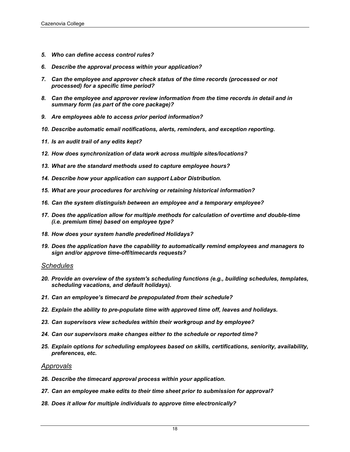- *5. Who can define access control rules?*
- *6. Describe the approval process within your application?*
- *7. Can the employee and approver check status of the time records (processed or not processed) for a specific time period?*
- *8. Can the employee and approver review information from the time records in detail and in summary form (as part of the core package)?*
- *9. Are employees able to access prior period information?*
- *10. Describe automatic email notifications, alerts, reminders, and exception reporting.*
- *11. Is an audit trail of any edits kept?*
- *12. How does synchronization of data work across multiple sites/locations?*
- *13. What are the standard methods used to capture employee hours?*
- *14. Describe how your application can support Labor Distribution.*
- *15. What are your procedures for archiving or retaining historical information?*
- *16. Can the system distinguish between an employee and a temporary employee?*
- *17. Does the application allow for multiple methods for calculation of overtime and double-time (i.e. premium time) based on employee type?*
- *18. How does your system handle predefined Holidays?*
- *19. Does the application have the capability to automatically remind employees and managers to sign and/or approve time-off/timecards requests?*

#### *Schedules*

- *20. Provide an overview of the system's scheduling functions (e.g., building schedules, templates, scheduling vacations, and default holidays).*
- *21. Can an employee's timecard be prepopulated from their schedule?*
- *22. Explain the ability to pre-populate time with approved time off, leaves and holidays.*
- *23. Can supervisors view schedules within their workgroup and by employee?*
- *24. Can our supervisors make changes either to the schedule or reported time?*
- *25. Explain options for scheduling employees based on skills, certifications, seniority, availability, preferences, etc.*

#### *Approvals*

- *26. Describe the timecard approval process within your application.*
- *27. Can an employee make edits to their time sheet prior to submission for approval?*
- *28. Does it allow for multiple individuals to approve time electronically?*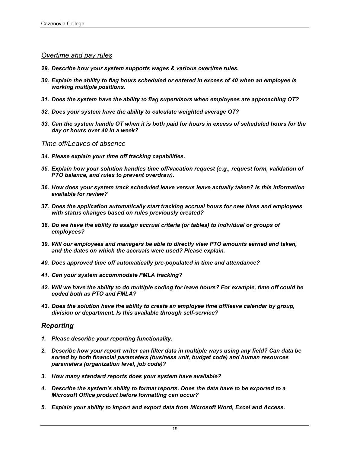#### *Overtime and pay rules*

- *29. Describe how your system supports wages & various overtime rules.*
- *30. Explain the ability to flag hours scheduled or entered in excess of 40 when an employee is working multiple positions.*
- *31. Does the system have the ability to flag supervisors when employees are approaching OT?*
- *32. Does your system have the ability to calculate weighted average OT?*
- *33. Can the system handle OT when it is both paid for hours in excess of scheduled hours for the day or hours over 40 in a week?*

#### *Time off/Leaves of absence*

- *34. Please explain your time off tracking capabilities.*
- *35. Explain how your solution handles time off/vacation request (e.g., request form, validation of PTO balance, and rules to prevent overdraw).*
- *36. How does your system track scheduled leave versus leave actually taken? Is this information available for review?*
- *37. Does the application automatically start tracking accrual hours for new hires and employees with status changes based on rules previously created?*
- *38. Do we have the ability to assign accrual criteria (or tables) to individual or groups of employees?*
- *39. Will our employees and managers be able to directly view PTO amounts earned and taken, and the dates on which the accruals were used? Please explain.*
- *40. Does approved time off automatically pre-populated in time and attendance?*
- *41. Can your system accommodate FMLA tracking?*
- *42. Will we have the ability to do multiple coding for leave hours? For example, time off could be coded both as PTO and FMLA?*
- *43. Does the solution have the ability to create an employee time off/leave calendar by group, division or department. Is this available through self-service?*

#### *Reporting*

- *1. Please describe your reporting functionality.*
- *2. Describe how your report writer can filter data in multiple ways using any field? Can data be sorted by both financial parameters (business unit, budget code) and human resources parameters (organization level, job code)?*
- *3. How many standard reports does your system have available?*
- *4. Describe the system's ability to format reports. Does the data have to be exported to a Microsoft Office product before formatting can occur?*
- *5. Explain your ability to import and export data from Microsoft Word, Excel and Access.*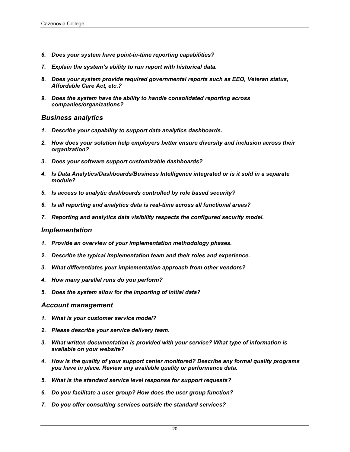- *6. Does your system have point-in-time reporting capabilities?*
- *7. Explain the system's ability to run report with historical data.*
- *8. Does your system provide required governmental reports such as EEO, Veteran status, Affordable Care Act, etc.?*
- *9. Does the system have the ability to handle consolidated reporting across companies/organizations?*

#### *Business analytics*

- *1. Describe your capability to support data analytics dashboards.*
- *2. How does your solution help employers better ensure diversity and inclusion across their organization?*
- *3. Does your software support customizable dashboards?*
- *4. Is Data Analytics/Dashboards/Business Intelligence integrated or is it sold in a separate module?*
- *5. Is access to analytic dashboards controlled by role based security?*
- *6. Is all reporting and analytics data is real-time across all functional areas?*
- *7. Reporting and analytics data visibility respects the configured security model.*

#### *Implementation*

- *1. Provide an overview of your implementation methodology phases.*
- *2. Describe the typical implementation team and their roles and experience.*
- *3. What differentiates your implementation approach from other vendors?*
- *4. How many parallel runs do you perform?*
- *5. Does the system allow for the importing of initial data?*

#### *Account management*

- *1. What is your customer service model?*
- *2. Please describe your service delivery team.*
- *3. What written documentation is provided with your service? What type of information is available on your website?*
- *4. How is the quality of your support center monitored? Describe any formal quality programs you have in place. Review any available quality or performance data.*
- *5. What is the standard service level response for support requests?*
- *6. Do you facilitate a user group? How does the user group function?*
- *7. Do you offer consulting services outside the standard services?*